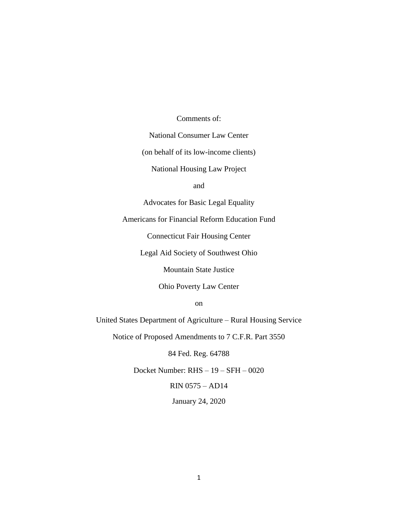### Comments of:

National Consumer Law Center

(on behalf of its low-income clients)

National Housing Law Project

and

Advocates for Basic Legal Equality

Americans for Financial Reform Education Fund

Connecticut Fair Housing Center

Legal Aid Society of Southwest Ohio

Mountain State Justice

Ohio Poverty Law Center

on

United States Department of Agriculture – Rural Housing Service

Notice of Proposed Amendments to 7 C.F.R. Part 3550

84 Fed. Reg. 64788

Docket Number: RHS – 19 – SFH – 0020

RIN 0575 – AD14

January 24, 2020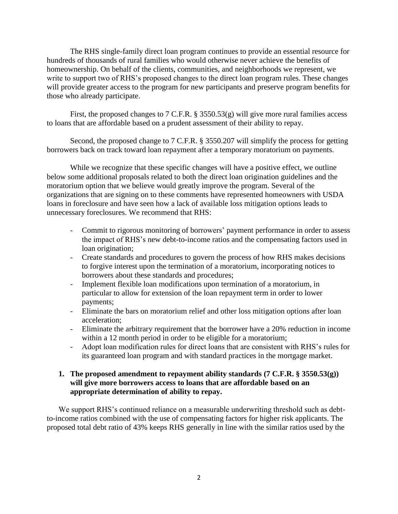The RHS single-family direct loan program continues to provide an essential resource for hundreds of thousands of rural families who would otherwise never achieve the benefits of homeownership. On behalf of the clients, communities, and neighborhoods we represent, we write to support two of RHS's proposed changes to the direct loan program rules. These changes will provide greater access to the program for new participants and preserve program benefits for those who already participate.

First, the proposed changes to 7 C.F.R. § 3550.53(g) will give more rural families access to loans that are affordable based on a prudent assessment of their ability to repay.

Second, the proposed change to 7 C.F.R. § 3550.207 will simplify the process for getting borrowers back on track toward loan repayment after a temporary moratorium on payments.

While we recognize that these specific changes will have a positive effect, we outline below some additional proposals related to both the direct loan origination guidelines and the moratorium option that we believe would greatly improve the program. Several of the organizations that are signing on to these comments have represented homeowners with USDA loans in foreclosure and have seen how a lack of available loss mitigation options leads to unnecessary foreclosures. We recommend that RHS:

- Commit to rigorous monitoring of borrowers' payment performance in order to assess the impact of RHS's new debt-to-income ratios and the compensating factors used in loan origination;
- Create standards and procedures to govern the process of how RHS makes decisions to forgive interest upon the termination of a moratorium, incorporating notices to borrowers about these standards and procedures;
- Implement flexible loan modifications upon termination of a moratorium, in particular to allow for extension of the loan repayment term in order to lower payments;
- Eliminate the bars on moratorium relief and other loss mitigation options after loan acceleration;
- Eliminate the arbitrary requirement that the borrower have a 20% reduction in income within a 12 month period in order to be eligible for a moratorium;
- Adopt loan modification rules for direct loans that are consistent with RHS's rules for its guaranteed loan program and with standard practices in the mortgage market.

### **1. The proposed amendment to repayment ability standards (7 C.F.R. § 3550.53(g)) will give more borrowers access to loans that are affordable based on an appropriate determination of ability to repay.**

We support RHS's continued reliance on a measurable underwriting threshold such as debtto-income ratios combined with the use of compensating factors for higher risk applicants. The proposed total debt ratio of 43% keeps RHS generally in line with the similar ratios used by the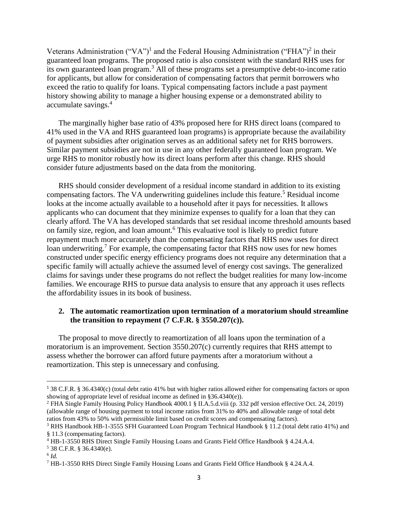Veterans Administration ("VA")<sup>1</sup> and the Federal Housing Administration ("FHA")<sup>2</sup> in their guaranteed loan programs. The proposed ratio is also consistent with the standard RHS uses for its own guaranteed loan program.<sup>3</sup> All of these programs set a presumptive debt-to-income ratio for applicants, but allow for consideration of compensating factors that permit borrowers who exceed the ratio to qualify for loans. Typical compensating factors include a past payment history showing ability to manage a higher housing expense or a demonstrated ability to accumulate savings.<sup>4</sup>

The marginally higher base ratio of 43% proposed here for RHS direct loans (compared to 41% used in the VA and RHS guaranteed loan programs) is appropriate because the availability of payment subsidies after origination serves as an additional safety net for RHS borrowers. Similar payment subsidies are not in use in any other federally guaranteed loan program. We urge RHS to monitor robustly how its direct loans perform after this change. RHS should consider future adjustments based on the data from the monitoring.

RHS should consider development of a residual income standard in addition to its existing compensating factors. The VA underwriting guidelines include this feature.<sup>5</sup> Residual income looks at the income actually available to a household after it pays for necessities. It allows applicants who can document that they minimize expenses to qualify for a loan that they can clearly afford. The VA has developed standards that set residual income threshold amounts based on family size, region, and loan amount.<sup>6</sup> This evaluative tool is likely to predict future repayment much more accurately than the compensating factors that RHS now uses for direct loan underwriting.<sup>7</sup> For example, the compensating factor that RHS now uses for new homes constructed under specific energy efficiency programs does not require any determination that a specific family will actually achieve the assumed level of energy cost savings. The generalized claims for savings under these programs do not reflect the budget realities for many low-income families. We encourage RHS to pursue data analysis to ensure that any approach it uses reflects the affordability issues in its book of business.

### **2. The automatic reamortization upon termination of a moratorium should streamline the transition to repayment (7 C.F.R. § 3550.207(c)).**

The proposal to move directly to reamortization of all loans upon the termination of a moratorium is an improvement. Section 3550.207(c) currently requires that RHS attempt to assess whether the borrower can afford future payments after a moratorium without a reamortization. This step is unnecessary and confusing.

l

<sup>1</sup> 38 C.F.R. § 36.4340(c) (total debt ratio 41% but with higher ratios allowed either for compensating factors or upon showing of appropriate level of residual income as defined in §36.4340(e)).

<sup>2</sup> FHA Single Family Housing Policy Handbook 4000.1 § II.A.5.d.viii (p. 332 pdf version effective Oct. 24, 2019) (allowable range of housing payment to total income ratios from 31% to 40% and allowable range of total debt ratios from 43% to 50% with permissible limit based on credit scores and compensating factors).

<sup>3</sup> RHS Handbook HB-1-3555 SFH Guaranteed Loan Program Technical Handbook § 11.2 (total debt ratio 41%) and § 11.3 (compensating factors).

<sup>4</sup> HB-1-3550 RHS Direct Single Family Housing Loans and Grants Field Office Handbook § 4.24.A.4.

<sup>5</sup> 38 C.F.R. § 36.4340(e).

<sup>6</sup> *Id.*

<sup>7</sup> HB-1-3550 RHS Direct Single Family Housing Loans and Grants Field Office Handbook § 4.24.A.4.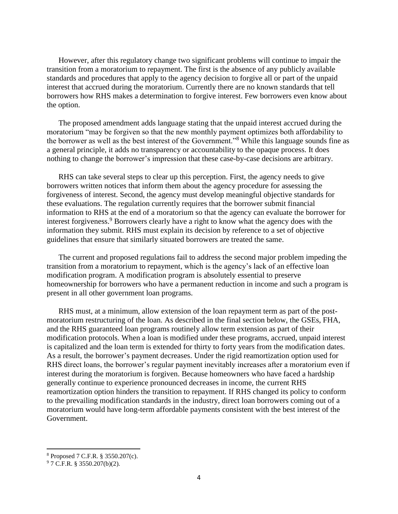However, after this regulatory change two significant problems will continue to impair the transition from a moratorium to repayment. The first is the absence of any publicly available standards and procedures that apply to the agency decision to forgive all or part of the unpaid interest that accrued during the moratorium. Currently there are no known standards that tell borrowers how RHS makes a determination to forgive interest. Few borrowers even know about the option.

The proposed amendment adds language stating that the unpaid interest accrued during the moratorium "may be forgiven so that the new monthly payment optimizes both affordability to the borrower as well as the best interest of the Government."<sup>8</sup> While this language sounds fine as a general principle, it adds no transparency or accountability to the opaque process. It does nothing to change the borrower's impression that these case-by-case decisions are arbitrary.

RHS can take several steps to clear up this perception. First, the agency needs to give borrowers written notices that inform them about the agency procedure for assessing the forgiveness of interest. Second, the agency must develop meaningful objective standards for these evaluations. The regulation currently requires that the borrower submit financial information to RHS at the end of a moratorium so that the agency can evaluate the borrower for interest forgiveness.<sup>9</sup> Borrowers clearly have a right to know what the agency does with the information they submit. RHS must explain its decision by reference to a set of objective guidelines that ensure that similarly situated borrowers are treated the same.

The current and proposed regulations fail to address the second major problem impeding the transition from a moratorium to repayment, which is the agency's lack of an effective loan modification program. A modification program is absolutely essential to preserve homeownership for borrowers who have a permanent reduction in income and such a program is present in all other government loan programs.

RHS must, at a minimum, allow extension of the loan repayment term as part of the postmoratorium restructuring of the loan. As described in the final section below, the GSEs, FHA, and the RHS guaranteed loan programs routinely allow term extension as part of their modification protocols. When a loan is modified under these programs, accrued, unpaid interest is capitalized and the loan term is extended for thirty to forty years from the modification dates. As a result, the borrower's payment decreases. Under the rigid reamortization option used for RHS direct loans, the borrower's regular payment inevitably increases after a moratorium even if interest during the moratorium is forgiven. Because homeowners who have faced a hardship generally continue to experience pronounced decreases in income, the current RHS reamortization option hinders the transition to repayment. If RHS changed its policy to conform to the prevailing modification standards in the industry, direct loan borrowers coming out of a moratorium would have long-term affordable payments consistent with the best interest of the Government.

 $\overline{a}$ 

<sup>8</sup> Proposed 7 C.F.R. § 3550.207(c).

<sup>9</sup> 7 C.F.R. § 3550.207(b)(2).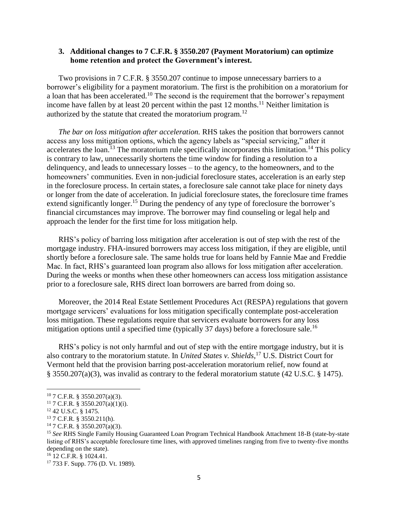### **3. Additional changes to 7 C.F.R. § 3550.207 (Payment Moratorium) can optimize home retention and protect the Government's interest.**

Two provisions in 7 C.F.R. § 3550.207 continue to impose unnecessary barriers to a borrower's eligibility for a payment moratorium. The first is the prohibition on a moratorium for a loan that has been accelerated.<sup>10</sup> The second is the requirement that the borrower's repayment income have fallen by at least 20 percent within the past 12 months.<sup>11</sup> Neither limitation is authorized by the statute that created the moratorium program.<sup>12</sup>

*The bar on loss mitigation after acceleration.* RHS takes the position that borrowers cannot access any loss mitigation options, which the agency labels as "special servicing," after it accelerates the loan.<sup>13</sup> The moratorium rule specifically incorporates this limitation.<sup>14</sup> This policy is contrary to law, unnecessarily shortens the time window for finding a resolution to a delinquency, and leads to unnecessary losses – to the agency, to the homeowners, and to the homeowners' communities. Even in non-judicial foreclosure states, acceleration is an early step in the foreclosure process. In certain states, a foreclosure sale cannot take place for ninety days or longer from the date of acceleration. In judicial foreclosure states, the foreclosure time frames extend significantly longer.<sup>15</sup> During the pendency of any type of foreclosure the borrower's financial circumstances may improve. The borrower may find counseling or legal help and approach the lender for the first time for loss mitigation help.

RHS's policy of barring loss mitigation after acceleration is out of step with the rest of the mortgage industry. FHA-insured borrowers may access loss mitigation, if they are eligible, until shortly before a foreclosure sale. The same holds true for loans held by Fannie Mae and Freddie Mac. In fact, RHS's guaranteed loan program also allows for loss mitigation after acceleration. During the weeks or months when these other homeowners can access loss mitigation assistance prior to a foreclosure sale, RHS direct loan borrowers are barred from doing so.

Moreover, the 2014 Real Estate Settlement Procedures Act (RESPA) regulations that govern mortgage servicers' evaluations for loss mitigation specifically contemplate post-acceleration loss mitigation. These regulations require that servicers evaluate borrowers for any loss mitigation options until a specified time (typically 37 days) before a foreclosure sale.<sup>16</sup>

RHS's policy is not only harmful and out of step with the entire mortgage industry, but it is also contrary to the moratorium statute. In *United States v. Shields*, <sup>17</sup> U.S. District Court for Vermont held that the provision barring post-acceleration moratorium relief, now found at § 3550.207(a)(3), was invalid as contrary to the federal moratorium statute (42 U.S.C. § 1475).

 $\overline{\phantom{a}}$ 

<sup>10</sup> 7 C.F.R. § 3550.207(a)(3).

 $11$  7 C.F.R. § 3550.207(a)(1)(i).

<sup>12</sup> 42 U.S.C. § 1475.

<sup>13</sup> 7 C.F.R. § 3550.211(h).

 $14$  7 C.F.R. § 3550.207(a)(3).

<sup>15</sup> *See* RHS Single Family Housing Guaranteed Loan Program Technical Handbook Attachment 18-B (state-by-state listing of RHS's acceptable foreclosure time lines, with approved timelines ranging from five to twenty-five months depending on the state).

<sup>16</sup> 12 C.F.R. § 1024.41.

<sup>17</sup> 733 F. Supp. 776 (D. Vt. 1989).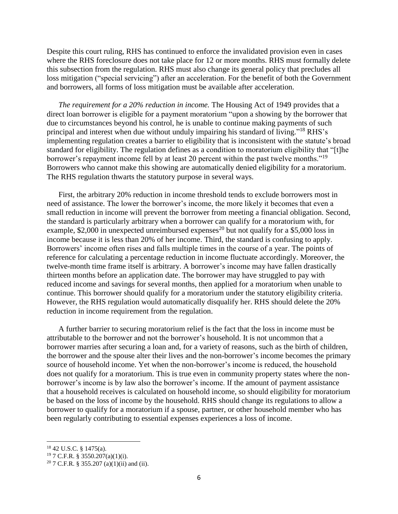Despite this court ruling, RHS has continued to enforce the invalidated provision even in cases where the RHS foreclosure does not take place for 12 or more months. RHS must formally delete this subsection from the regulation. RHS must also change its general policy that precludes all loss mitigation ("special servicing") after an acceleration. For the benefit of both the Government and borrowers, all forms of loss mitigation must be available after acceleration.

*The requirement for a 20% reduction in income.* The Housing Act of 1949 provides that a direct loan borrower is eligible for a payment moratorium "upon a showing by the borrower that due to circumstances beyond his control, he is unable to continue making payments of such principal and interest when due without unduly impairing his standard of living."<sup>18</sup> RHS's implementing regulation creates a barrier to eligibility that is inconsistent with the statute's broad standard for eligibility. The regulation defines as a condition to moratorium eligibility that "[t]he borrower's repayment income fell by at least 20 percent within the past twelve months."<sup>19</sup> Borrowers who cannot make this showing are automatically denied eligibility for a moratorium. The RHS regulation thwarts the statutory purpose in several ways.

First, the arbitrary 20% reduction in income threshold tends to exclude borrowers most in need of assistance. The lower the borrower's income, the more likely it becomes that even a small reduction in income will prevent the borrower from meeting a financial obligation. Second, the standard is particularly arbitrary when a borrower can qualify for a moratorium with, for example, \$2,000 in unexpected unreimbursed expenses<sup>20</sup> but not qualify for a \$5,000 loss in income because it is less than 20% of her income. Third, the standard is confusing to apply. Borrowers' income often rises and falls multiple times in the course of a year. The points of reference for calculating a percentage reduction in income fluctuate accordingly. Moreover, the twelve-month time frame itself is arbitrary. A borrower's income may have fallen drastically thirteen months before an application date. The borrower may have struggled to pay with reduced income and savings for several months, then applied for a moratorium when unable to continue. This borrower should qualify for a moratorium under the statutory eligibility criteria. However, the RHS regulation would automatically disqualify her. RHS should delete the 20% reduction in income requirement from the regulation.

A further barrier to securing moratorium relief is the fact that the loss in income must be attributable to the borrower and not the borrower's household. It is not uncommon that a borrower marries after securing a loan and, for a variety of reasons, such as the birth of children, the borrower and the spouse alter their lives and the non-borrower's income becomes the primary source of household income. Yet when the non-borrower's income is reduced, the household does not qualify for a moratorium. This is true even in community property states where the nonborrower's income is by law also the borrower's income. If the amount of payment assistance that a household receives is calculated on household income, so should eligibility for moratorium be based on the loss of income by the household. RHS should change its regulations to allow a borrower to qualify for a moratorium if a spouse, partner, or other household member who has been regularly contributing to essential expenses experiences a loss of income.

 $\overline{\phantom{a}}$ 

<sup>18</sup> 42 U.S.C. § 1475(a).

<sup>19</sup> 7 C.F.R. § 3550.207(a)(1)(i).

<sup>&</sup>lt;sup>20</sup> 7 C.F.R. § 355.207 (a)(1)(ii) and (ii).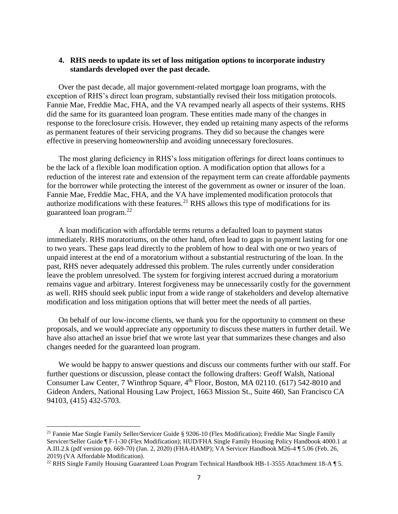### **4. RHS needs to update its set of loss mitigation options to incorporate industry standards developed over the past decade.**

Over the past decade, all major government-related mortgage loan programs, with the exception of RHS's direct loan program, substantially revised their loss mitigation protocols. Fannie Mae, Freddie Mac, FHA, and the VA revamped nearly all aspects of their systems. RHS did the same for its guaranteed loan program. These entities made many of the changes in response to the foreclosure crisis. However, they ended up retaining many aspects of the reforms as permanent features of their servicing programs. They did so because the changes were effective in preserving homeownership and avoiding unnecessary foreclosures.

The most glaring deficiency in RHS's loss mitigation offerings for direct loans continues to be the lack of a flexible loan modification option. A modification option that allows for a reduction of the interest rate and extension of the repayment term can create affordable payments for the borrower while protecting the interest of the government as owner or insurer of the loan. Fannie Mae, Freddie Mac, FHA, and the VA have implemented modification protocols that authorize modifications with these features.<sup>21</sup> RHS allows this type of modifications for its guaranteed loan program.<sup>22</sup>

A loan modification with affordable terms returns a defaulted loan to payment status immediately. RHS moratoriums, on the other hand, often lead to gaps in payment lasting for one to two years. These gaps lead directly to the problem of how to deal with one or two years of unpaid interest at the end of a moratorium without a substantial restructuring of the loan. In the past, RHS never adequately addressed this problem. The rules currently under consideration leave the problem unresolved. The system for forgiving interest accrued during a moratorium remains vague and arbitrary. Interest forgiveness may be unnecessarily costly for the government as well. RHS should seek public input from a wide range of stakeholders and develop alternative modification and loss mitigation options that will better meet the needs of all parties.

On behalf of our low-income clients, we thank you for the opportunity to comment on these proposals, and we would appreciate any opportunity to discuss these matters in further detail. We have also attached an issue brief that we wrote last year that summarizes these changes and also changes needed for the guaranteed loan program.

We would be happy to answer questions and discuss our comments further with our staff. For further questions or discussion, please contact the following drafters: Geoff Walsh, National Consumer Law Center, 7 Winthrop Square, 4<sup>th</sup> Floor, Boston, MA 02110. (617) 542-8010 and Gideon Anders, National Housing Law Project, 1663 Mission St., Suite 460, San Francisco CA 94103, (415) 432-5703.

l

<sup>21</sup> Fannie Mae Single Family Seller/Servicer Guide § 9206-10 (Flex Modification); Freddie Mac Single Family Servicer/Seller Guide ¶ F-1-30 (Flex Modification); HUD/FHA Single Family Housing Policy Handbook 4000.1 at A.III.2.k (pdf version pp. 669-70) (Jan. 2, 2020) (FHA-HAMP); VA Servicer Handbook M26-4 ¶ 5.06 (Feb. 26, 2019) (VA Affordable Modification).

<sup>&</sup>lt;sup>22</sup> RHS Single Family Housing Guaranteed Loan Program Technical Handbook HB-1-3555 Attachment 18-A ¶ 5.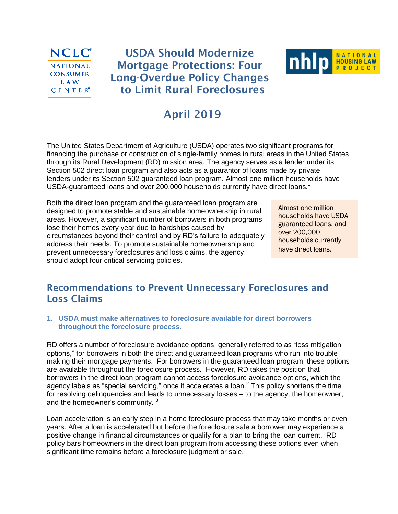### **NCLC**<sup>\*</sup> **NATIONAL CONSUMER LAW CENTER**<sup>®</sup>

# **USDA Should Modernize Mortgage Protections: Four Long-Overdue Policy Changes to Limit Rural Foreclosures**



# **April 2019**

The United States Department of Agriculture (USDA) operates two significant programs for financing the purchase or construction of single-family homes in rural areas in the United States through its Rural Development (RD) mission area. The agency serves as a lender under its Section 502 direct loan program and also acts as a guarantor of loans made by private lenders under its Section 502 guaranteed loan program. Almost one million households have USDA-guaranteed loans and over 200,000 households currently have direct loans.<sup>1</sup>

Both the direct loan program and the guaranteed loan program are designed to promote stable and sustainable homeownership in rural areas. However, a significant number of borrowers in both programs lose their homes every year due to hardships caused by circumstances beyond their control and by RD's failure to adequately address their needs. To promote sustainable homeownership and prevent unnecessary foreclosures and loss claims, the agency should adopt four critical servicing policies.

Almost one million households have USDA guaranteed loans, and over 200,000 households currently have direct loans.

## **Recommendations to Prevent Unnecessary Foreclosures and Loss Claims**

**1. USDA must make alternatives to foreclosure available for direct borrowers throughout the foreclosure process.**

RD offers a number of foreclosure avoidance options, generally referred to as "loss mitigation options," for borrowers in both the direct and guaranteed loan programs who run into trouble making their mortgage payments. For borrowers in the guaranteed loan program, these options are available throughout the foreclosure process. However, RD takes the position that borrowers in the direct loan program cannot access foreclosure avoidance options, which the agency labels as "special servicing," once it accelerates a loan.<sup>2</sup> This policy shortens the time for resolving delinquencies and leads to unnecessary losses – to the agency, the homeowner, and the homeowner's community.  $3$ 

Loan acceleration is an early step in a home foreclosure process that may take months or even years. After a loan is accelerated but before the foreclosure sale a borrower may experience a positive change in financial circumstances or qualify for a plan to bring the loan current. RD policy bars homeowners in the direct loan program from accessing these options even when significant time remains before a foreclosure judgment or sale.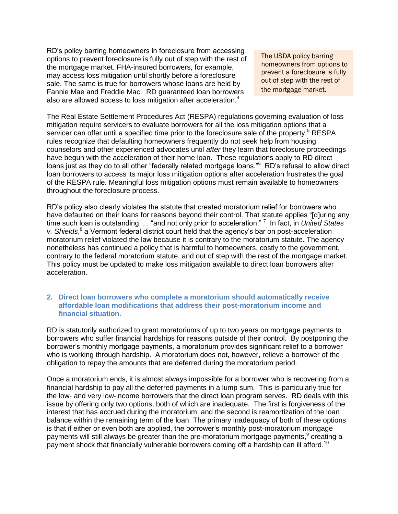RD's policy barring homeowners in foreclosure from accessing options to prevent foreclosure is fully out of step with the rest of the mortgage market. FHA-insured borrowers, for example, may access loss mitigation until shortly before a foreclosure sale. The same is true for borrowers whose loans are held by Fannie Mae and Freddie Mac. RD guaranteed loan borrowers also are allowed access to loss mitigation after acceleration.<sup>4</sup>

The USDA policy barring homeowners from options to prevent a foreclosure is fully out of step with the rest of the mortgage market.

The Real Estate Settlement Procedures Act (RESPA) regulations governing evaluation of loss mitigation require servicers to evaluate borrowers for all the loss mitigation options that a servicer can offer until a specified time prior to the foreclosure sale of the property.<sup>5</sup> RESPA rules recognize that defaulting homeowners frequently do not seek help from housing counselors and other experienced advocates until *after* they learn that foreclosure proceedings have begun with the acceleration of their home loan. These regulations apply to RD direct loans just as they do to all other "federally related mortgage loans."<sup>6</sup> RD's refusal to allow direct loan borrowers to access its major loss mitigation options after acceleration frustrates the goal of the RESPA rule. Meaningful loss mitigation options must remain available to homeowners throughout the foreclosure process.

RD's policy also clearly violates the statute that created moratorium relief for borrowers who have defaulted on their loans for reasons beyond their control. That statute applies "[d]uring any time such loan is outstanding. . . "and not only prior to acceleration." <sup>7</sup> In fact, in *United States*  v. Shields,<sup>8</sup> a Vermont federal district court held that the agency's bar on post-acceleration moratorium relief violated the law because it is contrary to the moratorium statute. The agency nonetheless has continued a policy that is harmful to homeowners, costly to the government, contrary to the federal moratorium statute, and out of step with the rest of the mortgage market. This policy must be updated to make loss mitigation available to direct loan borrowers after acceleration.

### **2. Direct loan borrowers who complete a moratorium should automatically receive affordable loan modifications that address their post-moratorium income and financial situation.**

RD is statutorily authorized to grant moratoriums of up to two years on mortgage payments to borrowers who suffer financial hardships for reasons outside of their control. By postponing the borrower's monthly mortgage payments, a moratorium provides significant relief to a borrower who is working through hardship. A moratorium does not, however, relieve a borrower of the obligation to repay the amounts that are deferred during the moratorium period.

Once a moratorium ends, it is almost always impossible for a borrower who is recovering from a financial hardship to pay all the deferred payments in a lump sum. This is particularly true for the low- and very low-income borrowers that the direct loan program serves. RD deals with this issue by offering only two options, both of which are inadequate. The first is forgiveness of the interest that has accrued during the moratorium, and the second is reamortization of the loan balance within the remaining term of the loan. The primary inadequacy of both of these options is that if either or even both are applied, the borrower's monthly post-moratorium mortgage payments will still always be greater than the pre-moratorium mortgage payments,  $9$  creating a payment shock that financially vulnerable borrowers coming off a hardship can ill afford.<sup>10</sup>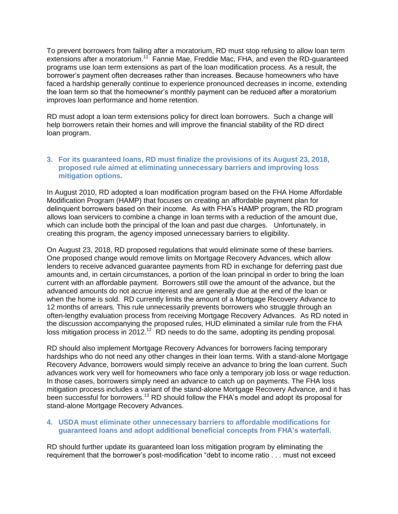To prevent borrowers from failing after a moratorium, RD must stop refusing to allow loan term extensions after a moratorium.<sup>11</sup> Fannie Mae, Freddie Mac, FHA, and even the RD-guaranteed programs use loan term extensions as part of the loan modification process. As a result, the borrower's payment often decreases rather than increases. Because homeowners who have faced a hardship generally continue to experience pronounced decreases in income, extending the loan term so that the homeowner's monthly payment can be reduced after a moratorium improves loan performance and home retention.

RD must adopt a loan term extensions policy for direct loan borrowers. Such a change will help borrowers retain their homes and will improve the financial stability of the RD direct loan program.

### **3. For its guaranteed loans, RD must finalize the provisions of its August 23, 2018, proposed rule aimed at eliminating unnecessary barriers and improving loss mitigation options.**

In August 2010, RD adopted a loan modification program based on the FHA Home Affordable Modification Program (HAMP) that focuses on creating an affordable payment plan for delinquent borrowers based on their income. As with FHA's HAMP program, the RD program allows loan servicers to combine a change in loan terms with a reduction of the amount due, which can include both the principal of the loan and past due charges. Unfortunately, in creating this program, the agency imposed unnecessary barriers to eligibility.

On August 23, 2018, RD proposed regulations that would eliminate some of these barriers. One proposed change would remove limits on Mortgage Recovery Advances, which allow lenders to receive advanced guarantee payments from RD in exchange for deferring past due amounts and, in certain circumstances, a portion of the loan principal in order to bring the loan current with an affordable payment. Borrowers still owe the amount of the advance, but the advanced amounts do not accrue interest and are generally due at the end of the loan or when the home is sold. RD currently limits the amount of a Mortgage Recovery Advance to 12 months of arrears. This rule unnecessarily prevents borrowers who struggle through an often-lengthy evaluation process from receiving Mortgage Recovery Advances. As RD noted in the discussion accompanying the proposed rules, HUD eliminated a similar rule from the FHA loss mitigation process in 2012.<sup>12</sup> RD needs to do the same, adopting its pending proposal.

RD should also implement Mortgage Recovery Advances for borrowers facing temporary hardships who do not need any other changes in their loan terms. With a stand-alone Mortgage Recovery Advance, borrowers would simply receive an advance to bring the loan current. Such advances work very well for homeowners who face only a temporary job loss or wage reduction. In those cases, borrowers simply need an advance to catch up on payments. The FHA loss mitigation process includes a variant of the stand-alone Mortgage Recovery Advance, and it has been successful for borrowers.<sup>13</sup> RD should follow the FHA's model and adopt its proposal for stand-alone Mortgage Recovery Advances.

### **4. USDA must eliminate other unnecessary barriers to affordable modifications for guaranteed loans and adopt additional beneficial concepts from FHA's waterfall.**

RD should further update its guaranteed loan loss mitigation program by eliminating the requirement that the borrower's post-modification "debt to income ratio . . . must not exceed